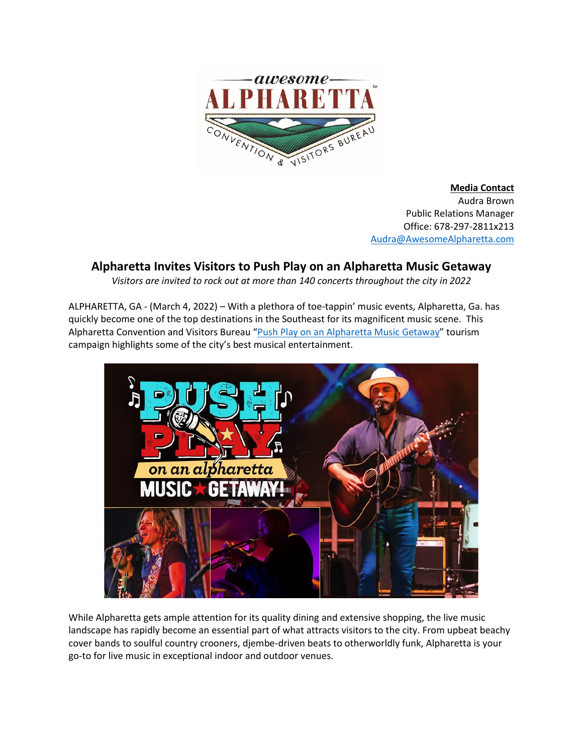

**Media Contact** Audra Brown Public Relations Manager Office: 678-297-2811x213 [Audra@AwesomeAlpharetta.com](mailto:Audra@AwesomeAlpharetta.com)

# **Alpharetta Invites Visitors to Push Play on an Alpharetta Music Getaway**

*Visitors are invited to rock out at more than 140 concerts throughout the city in 2022*

ALPHARETTA, GA - (March 4, 2022) – With a plethora of toe-tappin' music events, Alpharetta, Ga. has quickly become one of the top destinations in the Southeast for its magnificent music scene. This Alpharetta Convention and Visitors Bureau "[Push Play on an Alpharetta Music Getaway](https://www.awesomealpharetta.com/push-play-on-an-alpharetta-music-getaway/)" tourism campaign highlights some of the city's best musical entertainment.



While Alpharetta gets ample attention for its quality dining and extensive shopping, the live music landscape has rapidly become an essential part of what attracts visitors to the city. From upbeat beachy cover bands to soulful country crooners, djembe-driven beats to otherworldly funk, Alpharetta is your go-to for live music in exceptional indoor and outdoor venues.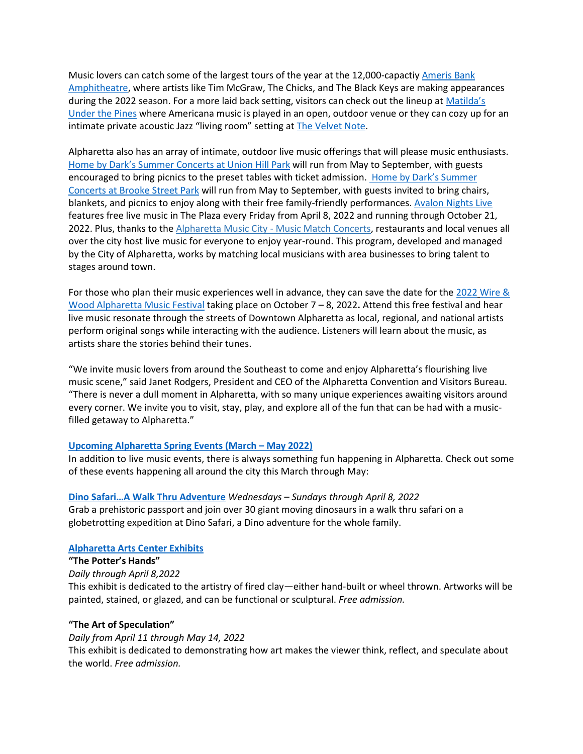Music lovers can catch some of the largest tours of the year at the 12,000-capactiy [Ameris](https://www.awesomealpharetta.com/play/attraction/amerisbank-amphitheatre/) Bank [Amphitheatre,](https://www.awesomealpharetta.com/play/attraction/amerisbank-amphitheatre/) where artists like Tim McGraw, The Chicks, and The Black Keys are making appearances during the 2022 season. For a more laid back setting, visitors can check out the lineup at [Matilda's](https://www.awesomealpharetta.com/play/attraction/pines-matildas-concert-series/) [Under](https://www.awesomealpharetta.com/play/attraction/pines-matildas-concert-series/) the Pines where Americana music is played in an open, outdoor venue or they can cozy up for an intimate private acoustic Jazz "living room" setting at [The Velvet Note.](https://www.awesomealpharetta.com/play/attraction/the-velvet-note/)

Alpharetta also has an array of intimate, outdoor live music offerings that will please music enthusiasts. Home by Dark's Summer Concerts at Union Hill Park [will run from May to September, with guests](https://www.awesomealpharetta.com/play/attraction/concert-series/)  [encouraged to bring picnics to the preset tables](https://www.awesomealpharetta.com/play/attraction/concert-series/) with ticket admission. Home by Dark's Summer Concerts at [Brooke Street Park](https://www.awesomealpharetta.com/play/attraction/concert-series/) will run from May to September, with guests invited to bring chairs, blankets, and picnics to enjoy along with their free family-friendly performances. [Avalon Nights Live](https://www.awesomealpharetta.com/event/avalon-nights-live/all/) features free live music in The Plaza every Friday from April 8, 2022 and running through October 21, 2022. Plus, thanks to the [Alpharetta Music City -](https://www.awesomealpharetta.com/play/attraction/alpharetta-music-city-music-match-concerts/) Music Match Concerts, restaurants and local venues all over the city host live music for everyone to enjoy year-round. This program, developed and managed by the City of Alpharetta, works by matching local musicians with area businesses to bring talent to stages around town.

For those who plan their music experiences well in advance, they can save the date for the [2022](https://www.awesomealpharetta.com/wire-wood-alpharetta-songwriters-festival/) [Wire &](https://www.awesomealpharetta.com/wire-wood-alpharetta-songwriters-festival/)  [Wood Alpharetta Music Festival](https://www.awesomealpharetta.com/wire-wood-alpharetta-songwriters-festival/) taking place on October 7 – 8, 2022**.** Attend this free festival and hear live music resonate through the streets of Downtown Alpharetta as local, regional, and national artists perform original songs while interacting with the audience. Listeners will learn about the music, as artists share the stories behind their tunes.

"We invite music lovers from around the Southeast to come and enjoy Alpharetta's flourishing live music scene," said Janet Rodgers, President and CEO of the Alpharetta Convention and Visitors Bureau. "There is never a dull moment in Alpharetta, with so many unique experiences awaiting visitors around every corner. We invite you to visit, stay, play, and explore all of the fun that can be had with a musicfilled getaway to Alpharetta."

# **[Upcoming Alpharetta Spring](https://www.awesomealpharetta.com/calendar/) Events (March – May 2022)**

In addition to live music events, there is always something fun happening in Alpharetta. Check out some of these events happening all around the city this March through May:

**Dino Safari[…A Walk Thru Adventur](https://www.awesomealpharetta.com/dino-safaria-walk-thru-adventure/)e** *Wednesdays – Sundays through April 8, 2022* Grab a prehistoric passport and join over 30 giant moving dinosaurs in a walk thru safari on a globetrotting expedition at Dino Safari, a Dino adventure for the whole family.

# **[Alpharetta Arts Center Exhibits](https://www.awesomealpharetta.com/play/attraction/alpharetta-arts-center/)**

**"The Potter's Hands"** *Daily through April 8,2022* This exhibit is dedicated to the artistry of fired clay—either hand-built or wheel thrown. Artworks will be painted, stained, or glazed, and can be functional or sculptural. *Free admission.*

# **"The Art of Speculation"**

*Daily from April 11 through May 14, 2022* This exhibit is dedicated to demonstrating how art makes the viewer think, reflect, and speculate about the world. *Free admission.*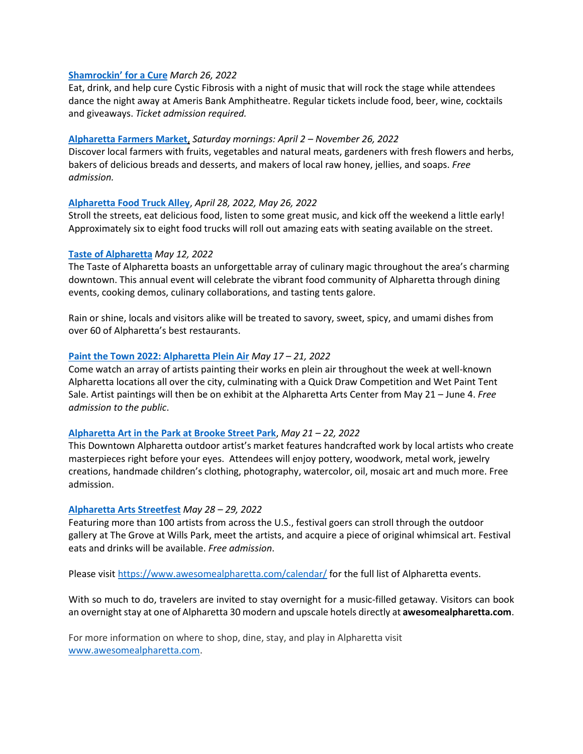## **[Shamrockin](https://www.awesomealpharetta.com/event/shamrockin-for-a-cure/)' for a Cure** *March 26, 2022*

Eat, drink, and help cure Cystic Fibrosis with a night of music that will rock the stage while attendees dance the night away at Ameris Bank Amphitheatre. Regular tickets include food, beer, wine, cocktails and giveaways. *Ticket admission required.*

## **[Alpharetta Farmers Market](https://www.awesomealpharetta.com/events/alpharetta-farmers-market/)**, *Saturday mornings: April 2 – November 26, 2022*

Discover local farmers with fruits, vegetables and natural meats, gardeners with fresh flowers and herbs, bakers of delicious breads and desserts, and makers of local raw honey, jellies, and soaps. *Free admission.*

## **[Alpharetta Food Truck Alley](https://www.awesomealpharetta.com/play/attraction/alpharetta-food-truck-alley/)**, *April 28, 2022, May 26, 2022*

Stroll the streets, eat delicious food, listen to some great music, and kick off the weekend a little early! Approximately six to eight food trucks will roll out amazing eats with seating available on the street.

## **Taste [of Alpharetta](https://www.awesomealpharetta.com/taste-of-alpharetta/)** *May 12, 2022*

The Taste of Alpharetta boasts an unforgettable array of culinary magic throughout the area's charming downtown. This annual event will celebrate the vibrant food community of Alpharetta through dining events, cooking demos, culinary collaborations, and tasting tents galore.

Rain or shine, locals and visitors alike will be treated to savory, sweet, spicy, and umami dishes from over 60 of Alpharetta's best restaurants.

## **Paint the Town [2022: Alpharetta Plein Air](https://www.awesomealpharetta.com/event/paint-the-town-alpharetta-plein-air/all/)** *May 17 – 21, 2022*

Come watch an array of artists painting their works en plein air throughout the week at well-known Alpharetta locations all over the city, culminating with a Quick Draw Competition and Wet Paint Tent Sale. Artist paintings will then be on exhibit at the Alpharetta Arts Center from May 21 – June 4. *Free admission to the public*.

#### **[Alpharetta Art in the Park at Brooke Street Park](https://www.awesomealpharetta.com/alpharetta-art-park/)**, *May 21 – 22, 2022*

This Downtown Alpharetta outdoor artist's market features handcrafted work by local artists who create masterpieces right before your eyes. Attendees will enjoy pottery, woodwork, metal work, jewelry creations, handmade children's clothing, photography, watercolor, oil, mosaic art and much more. Free admission.

#### **[Alpharetta Arts Streetfest](https://www.awesomealpharetta.com/event/alpharetta-arts-streetfest/all/)** *May 28 – 29, 2022*

Featuring more than 100 artists from across the U.S., festival goers can stroll through the outdoor gallery at The Grove at Wills Park, meet the artists, and acquire a piece of original whimsical art. Festival eats and drinks will be available. *Free admission*.

Please visi[t https://www.awesomealpharetta.com/calendar/](https://www.awesomealpharetta.com/calendar/) for the full list of Alpharetta events.

With so much to do, travelers are invited to stay overnight for a music-filled getaway. Visitors can book an overnight stay at one of Alpharetta 30 modern and upscale hotels directly at **awesomealpharetta.com**.

For more information on where to shop, dine, stay, and play in Alpharetta visit [www.awesomealpharetta.com.](http://www.awesomealpharetta.com/)